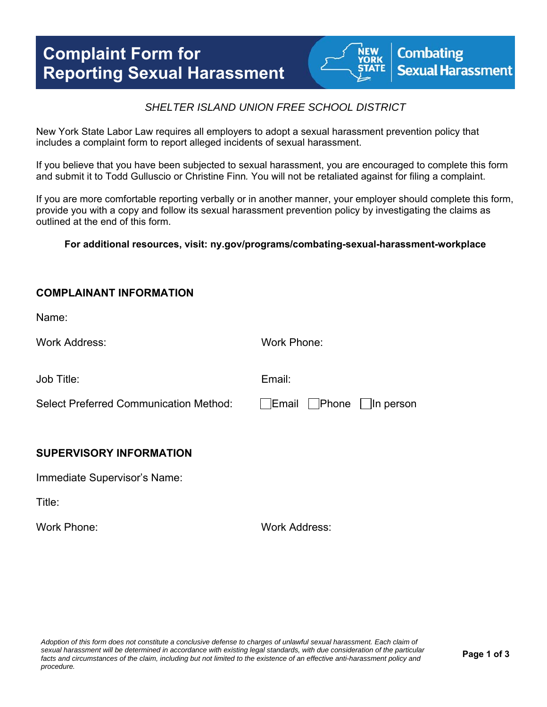# **Complaint Form for Reporting Sexual Harassment**



## *SHELTER ISLAND UNION FREE SCHOOL DISTRICT*

New York State Labor Law requires all employers to adopt a sexual harassment prevention policy that includes a complaint form to report alleged incidents of sexual harassment.

If you believe that you have been subjected to sexual harassment, you are encouraged to complete this form and submit it to Todd Gulluscio or Christine Finn*.* You will not be retaliated against for filing a complaint.

If you are more comfortable reporting verbally or in another manner, your employer should complete this form, provide you with a copy and follow its sexual harassment prevention policy by investigating the claims as outlined at the end of this form.

**For additional resources, visit: ny.gov/programs/combating-sexual-harassment-workplace** 

#### **COMPLAINANT INFORMATION**

Name:

Work Address: Work Phone:

Job Title: Email:

Select Preferred Communication Method: Fig. Email Phone In person

### **SUPERVISORY INFORMATION**

Immediate Supervisor's Name:

Title:

Work Phone: Work Address: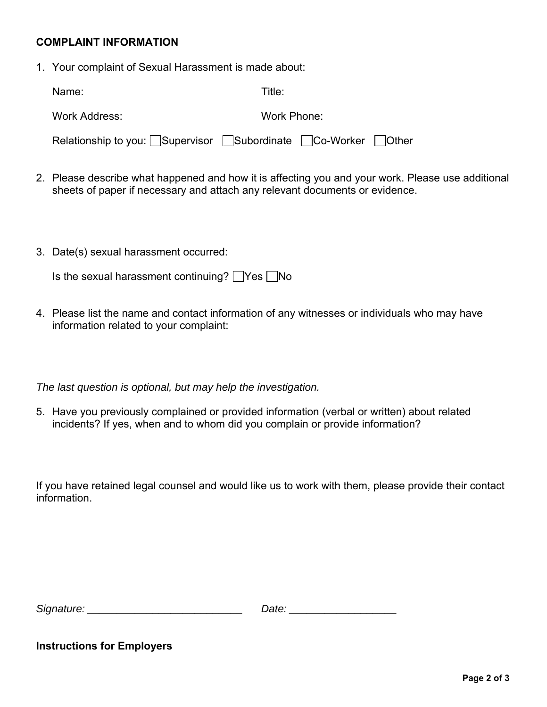### **COMPLAINT INFORMATION**

1. Your complaint of Sexual Harassment is made about:

| Name:                                                       | Title:      |
|-------------------------------------------------------------|-------------|
| Work Address:                                               | Work Phone: |
| Relationship to you: Supervisor Subordinate Co-Worker Other |             |

- 2. Please describe what happened and how it is affecting you and your work. Please use additional sheets of paper if necessary and attach any relevant documents or evidence.
- 3. Date(s) sexual harassment occurred:

| Is the sexual harassment continuing? $\Box$ Yes $\Box$ No |  |  |  |
|-----------------------------------------------------------|--|--|--|
|-----------------------------------------------------------|--|--|--|

4. Please list the name and contact information of any witnesses or individuals who may have information related to your complaint:

*The last question is optional, but may help the investigation.* 

5. Have you previously complained or provided information (verbal or written) about related incidents? If yes, when and to whom did you complain or provide information?

If you have retained legal counsel and would like us to work with them, please provide their contact information.

| Signature: | Jate |
|------------|------|
|            |      |

#### **Instructions for Employers**